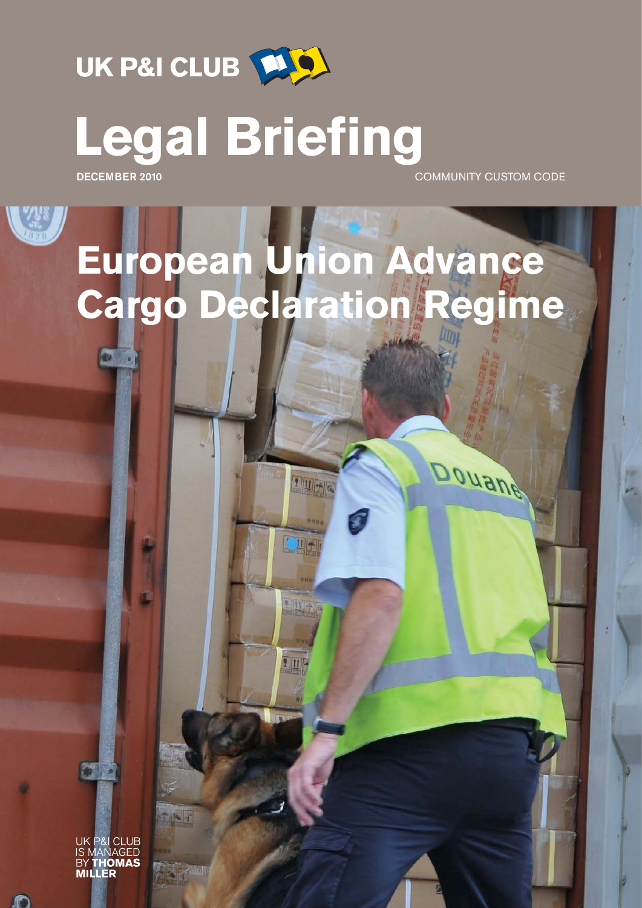

**Legal Briefing**

kBa.

**DECEMBER 2010** COMMUNITY CUSTOM CODE

Douane

# **European Union Advance Cargo Declaration Regime**

100

四

UK P&I CLUB **NAGED** 

O

テルイ

**CSIM**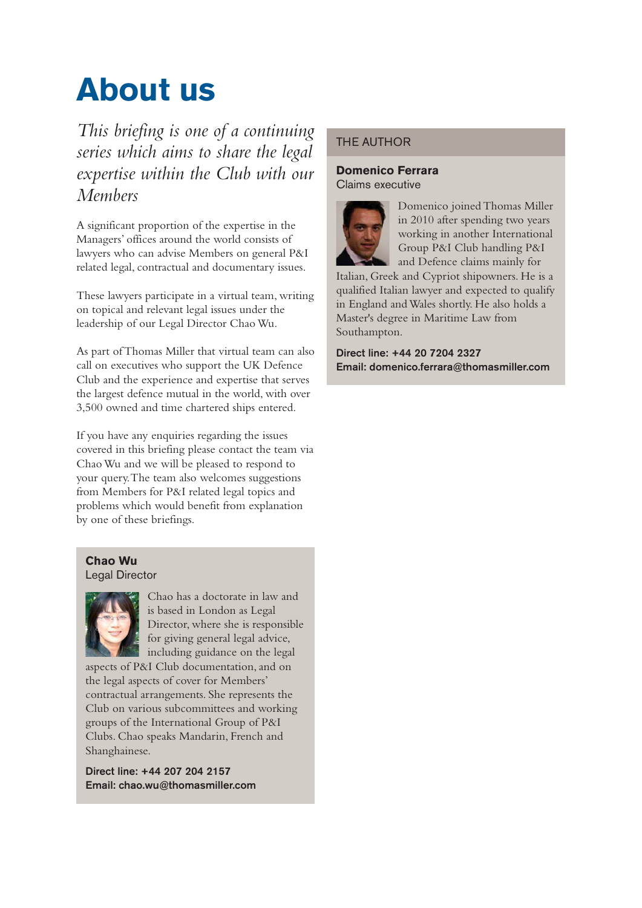## **About us**

*This briefing is one of a continuing series which aims to share the legal expertise within the Club with our Members*

A significant proportion of the expertise in the Managers' offices around the world consists of lawyers who can advise Members on general P&I related legal, contractual and documentary issues.

These lawyers participate in a virtual team, writing on topical and relevant legal issues under the leadership of our Legal Director Chao Wu.

As part of Thomas Miller that virtual team can also call on executives who support the UK Defence Club and the experience and expertise that serves the largest defence mutual in the world, with over 3,500 owned and time chartered ships entered.

If you have any enquiries regarding the issues covered in this briefing please contact the team via Chao Wu and we will be pleased to respond to your query. The team also welcomes suggestions from Members for P&I related legal topics and problems which would benefit from explanation by one of these briefings.

#### **Chao Wu** Legal Director



Chao has a doctorate in law and is based in London as Legal Director, where she is responsible for giving general legal advice, including guidance on the legal

aspects of P&I Club documentation, and on the legal aspects of cover for Members' contractual arrangements. She represents the Club on various subcommittees and working groups of the International Group of P&I Clubs. Chao speaks Mandarin, French and Shanghainese.

**Direct line: +44 207 204 2157 Email: chao.wu@thomasmiller.com**

#### THE AUTHOR

#### **Domenico Ferrara** Claims executive



Domenico joined Thomas Miller in 2010 after spending two years working in another International Group P&I Club handling P&I and Defence claims mainly for

Italian, Greek and Cypriot shipowners. He is a qualified Italian lawyer and expected to qualify in England and Wales shortly. He also holds a Master's degree in Maritime Law from Southampton.

**Direct line: +44 20 7204 2327 Email: domenico.ferrara@thomasmiller.com**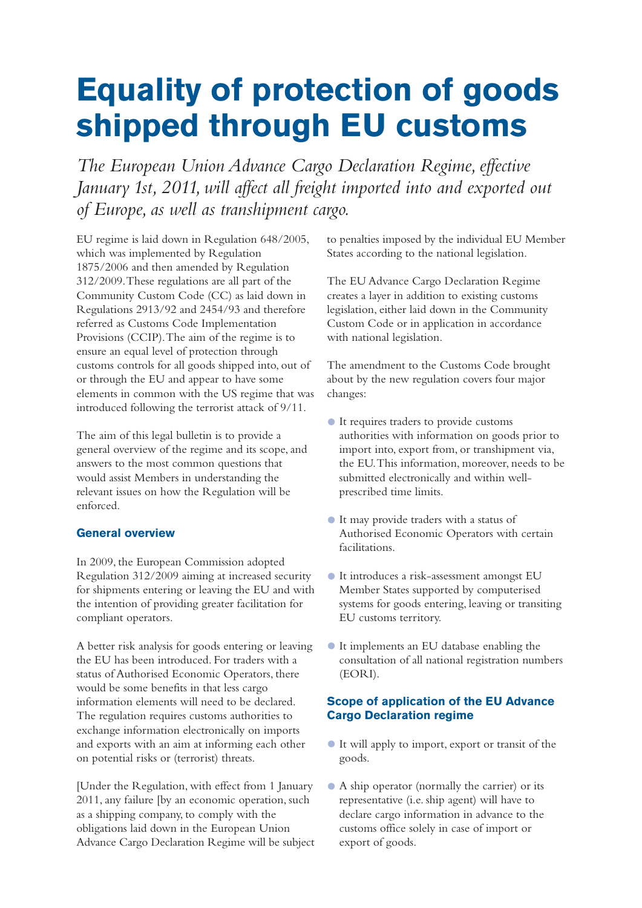### **Equality of protection of goods shipped through EU customs**

*The European Union Advance Cargo Declaration Regime, effective January 1st, 2011, will affect all freight imported into and exported out of Europe, as well as transhipment cargo.*

EU regime is laid down in Regulation 648/2005, which was implemented by Regulation 1875/2006 and then amended by Regulation 312/2009. These regulations are all part of the Community Custom Code (CC) as laid down in Regulations 2913/92 and 2454/93 and therefore referred as Customs Code Implementation Provisions (CCIP). The aim of the regime is to ensure an equal level of protection through customs controls for all goods shipped into, out of or through the EU and appear to have some elements in common with the US regime that was introduced following the terrorist attack of 9/11.

The aim of this legal bulletin is to provide a general overview of the regime and its scope, and answers to the most common questions that would assist Members in understanding the relevant issues on how the Regulation will be enforced.

#### **General overview**

In 2009, the European Commission adopted Regulation 312/2009 aiming at increased security for shipments entering or leaving the EU and with the intention of providing greater facilitation for compliant operators.

A better risk analysis for goods entering or leaving the EU has been introduced. For traders with a status of Authorised Economic Operators, there would be some benefits in that less cargo information elements will need to be declared. The regulation requires customs authorities to exchange information electronically on imports and exports with an aim at informing each other on potential risks or (terrorist) threats.

[Under the Regulation, with effect from 1 January 2011, any failure [by an economic operation, such as a shipping company, to comply with the obligations laid down in the European Union Advance Cargo Declaration Regime will be subject to penalties imposed by the individual EU Member States according to the national legislation.

The EU Advance Cargo Declaration Regime creates a layer in addition to existing customs legislation, either laid down in the Community Custom Code or in application in accordance with national legislation.

The amendment to the Customs Code brought about by the new regulation covers four major changes:

- It requires traders to provide customs authorities with information on goods prior to import into, export from, or transhipment via, the EU. This information, moreover, needs to be submitted electronically and within wellprescribed time limits.
- It may provide traders with a status of Authorised Economic Operators with certain facilitations.
- It introduces a risk-assessment amongst EU Member States supported by computerised systems for goods entering, leaving or transiting EU customs territory.
- It implements an EU database enabling the consultation of all national registration numbers (EORI).

#### **Scope of application of the EU Advance Cargo Declaration regime**

- It will apply to import, export or transit of the goods.
- A ship operator (normally the carrier) or its representative (i.e. ship agent) will have to declare cargo information in advance to the customs office solely in case of import or export of goods.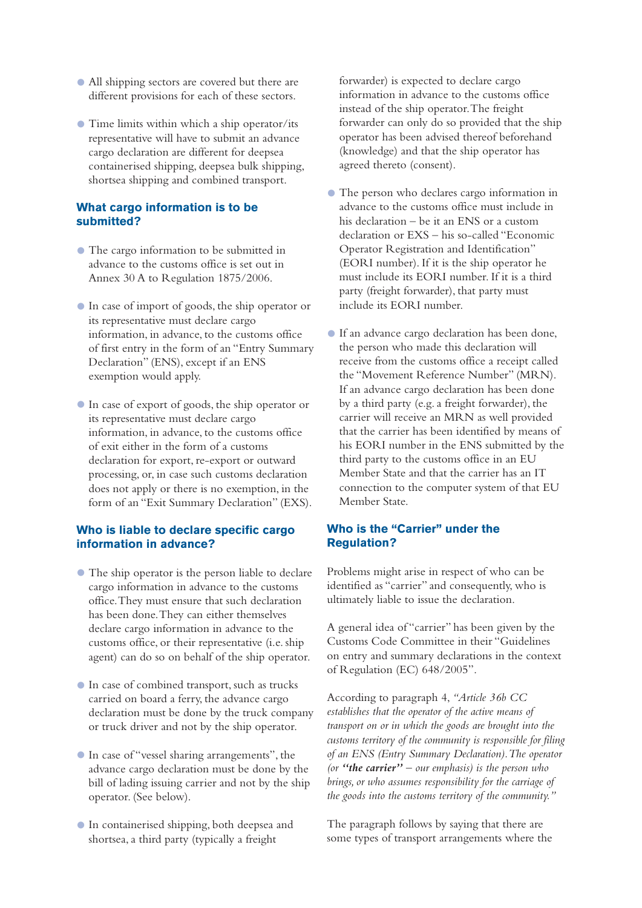- All shipping sectors are covered but there are different provisions for each of these sectors.
- Time limits within which a ship operator/its representative will have to submit an advance cargo declaration are different for deepsea containerised shipping, deepsea bulk shipping, shortsea shipping and combined transport.

#### **What cargo information is to be submitted?**

- The cargo information to be submitted in advance to the customs office is set out in Annex 30 A to Regulation 1875/2006.
- In case of import of goods, the ship operator or its representative must declare cargo information, in advance, to the customs office of first entry in the form of an "Entry Summary Declaration" (ENS), except if an ENS exemption would apply.
- In case of export of goods, the ship operator or its representative must declare cargo information, in advance, to the customs office of exit either in the form of a customs declaration for export, re-export or outward processing, or, in case such customs declaration does not apply or there is no exemption, in the form of an "Exit Summary Declaration" (EXS).

#### **Who is liable to declare specific cargo information in advance?**

- The ship operator is the person liable to declare cargo information in advance to the customs office. They must ensure that such declaration has been done. They can either themselves declare cargo information in advance to the customs office, or their representative (i.e. ship agent) can do so on behalf of the ship operator.
- In case of combined transport, such as trucks carried on board a ferry, the advance cargo declaration must be done by the truck company or truck driver and not by the ship operator.
- In case of "vessel sharing arrangements", the advance cargo declaration must be done by the bill of lading issuing carrier and not by the ship operator. (See below).
- In containerised shipping, both deepsea and shortsea, a third party (typically a freight

forwarder) is expected to declare cargo information in advance to the customs office instead of the ship operator. The freight forwarder can only do so provided that the ship operator has been advised thereof beforehand (knowledge) and that the ship operator has agreed thereto (consent).

- The person who declares cargo information in advance to the customs office must include in his declaration – be it an ENS or a custom declaration or EXS – his so-called "Economic Operator Registration and Identification" (EORI number). If it is the ship operator he must include its EORI number. If it is a third party (freight forwarder), that party must include its EORI number.
- If an advance cargo declaration has been done, the person who made this declaration will receive from the customs office a receipt called the "Movement Reference Number" (MRN). If an advance cargo declaration has been done by a third party (e.g. a freight forwarder), the carrier will receive an MRN as well provided that the carrier has been identified by means of his EORI number in the ENS submitted by the third party to the customs office in an EU Member State and that the carrier has an IT connection to the computer system of that EU Member State.

#### **Who is the "Carrier" under the Regulation?**

Problems might arise in respect of who can be identified as "carrier" and consequently, who is ultimately liable to issue the declaration.

A general idea of "carrier" has been given by the Customs Code Committee in their "Guidelines on entry and summary declarations in the context of Regulation (EC) 648/2005".

According to paragraph 4, *"Article 36b CC establishes that the operator of the active means of transport on or in which the goods are brought into the customs territory of the community is responsible for filing of an ENS (Entry Summary Declaration). The operator (or "the carrier" – our emphasis) is the person who brings, or who assumes responsibility for the carriage of the goods into the customs territory of the community."*

The paragraph follows by saying that there are some types of transport arrangements where the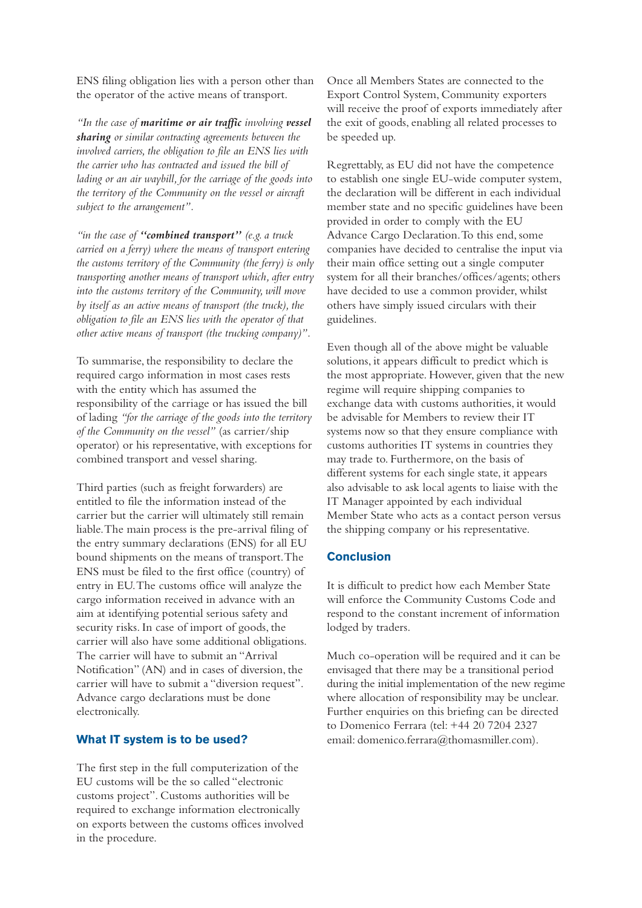ENS filing obligation lies with a person other than the operator of the active means of transport.

*"In the case of maritime or air traffic involving vessel sharing or similar contracting agreements between the involved carriers, the obligation to file an ENS lies with the carrier who has contracted and issued the bill of lading or an air waybill, for the carriage of the goods into the territory of the Community on the vessel or aircraft subject to the arrangement".*

*"in the case of "combined transport" (e.g. a truck carried on a ferry) where the means of transport entering the customs territory of the Community (the ferry) is only transporting another means of transport which, after entry into the customs territory of the Community, will move by itself as an active means of transport (the truck), the obligation to file an ENS lies with the operator of that other active means of transport (the trucking company)".*

To summarise, the responsibility to declare the required cargo information in most cases rests with the entity which has assumed the responsibility of the carriage or has issued the bill of lading *"for the carriage of the goods into the territory of the Community on the vessel"* (as carrier/ship operator) or his representative, with exceptions for combined transport and vessel sharing.

Third parties (such as freight forwarders) are entitled to file the information instead of the carrier but the carrier will ultimately still remain liable. The main process is the pre-arrival filing of the entry summary declarations (ENS) for all EU bound shipments on the means of transport. The ENS must be filed to the first office (country) of entry in EU. The customs office will analyze the cargo information received in advance with an aim at identifying potential serious safety and security risks. In case of import of goods, the carrier will also have some additional obligations. The carrier will have to submit an "Arrival Notification" (AN) and in cases of diversion, the carrier will have to submit a "diversion request". Advance cargo declarations must be done electronically.

#### **What IT system is to be used?**

The first step in the full computerization of the EU customs will be the so called "electronic customs project". Customs authorities will be required to exchange information electronically on exports between the customs offices involved in the procedure.

Once all Members States are connected to the Export Control System, Community exporters will receive the proof of exports immediately after the exit of goods, enabling all related processes to be speeded up.

Regrettably, as EU did not have the competence to establish one single EU-wide computer system, the declaration will be different in each individual member state and no specific guidelines have been provided in order to comply with the EU Advance Cargo Declaration. To this end, some companies have decided to centralise the input via their main office setting out a single computer system for all their branches/offices/agents; others have decided to use a common provider, whilst others have simply issued circulars with their guidelines.

Even though all of the above might be valuable solutions, it appears difficult to predict which is the most appropriate. However, given that the new regime will require shipping companies to exchange data with customs authorities, it would be advisable for Members to review their IT systems now so that they ensure compliance with customs authorities IT systems in countries they may trade to. Furthermore, on the basis of different systems for each single state, it appears also advisable to ask local agents to liaise with the IT Manager appointed by each individual Member State who acts as a contact person versus the shipping company or his representative.

#### **Conclusion**

It is difficult to predict how each Member State will enforce the Community Customs Code and respond to the constant increment of information lodged by traders.

Much co-operation will be required and it can be envisaged that there may be a transitional period during the initial implementation of the new regime where allocation of responsibility may be unclear. Further enquiries on this briefing can be directed to Domenico Ferrara (tel: +44 20 7204 2327 email: domenico.ferrara@thomasmiller.com).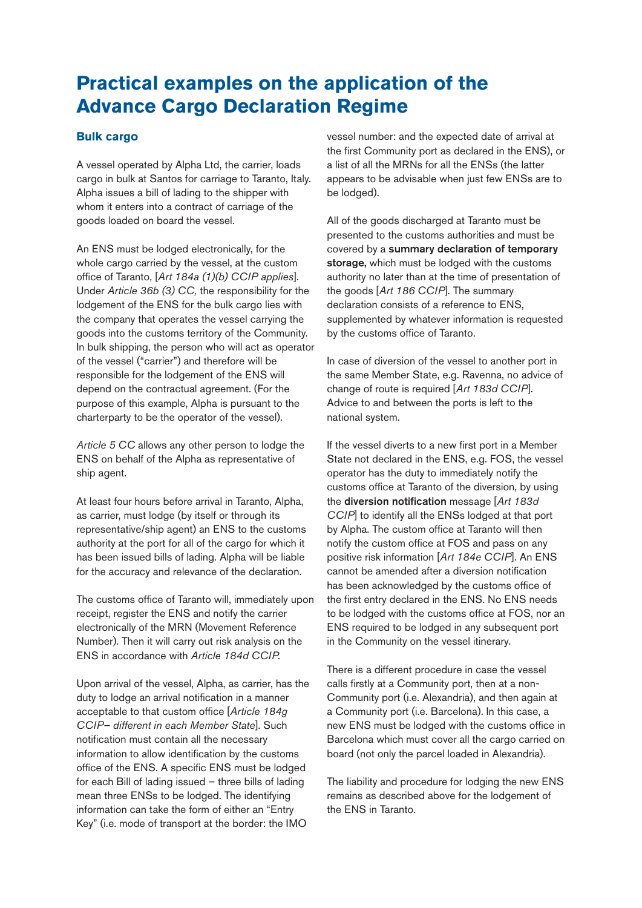### **Practical examples on the application of the Advance Cargo Declaration Regime**

#### **Bulk cargo**

A vessel operated by Alpha Ltd, the carrier, loads cargo in bulk at Santos for carriage to Taranto, Italy. Alpha issues a bill of lading to the shipper with whom it enters into a contract of carriage of the goods loaded on board the vessel.

An ENS must be lodged electronically, for the whole cargo carried by the vessel, at the custom office of Taranto, [*Art 184a (1)(b) CCIP applies*]. Under *Article 36b (3) CC,* the responsibility for the lodgement of the ENS for the bulk cargo lies with the company that operates the vessel carrying the goods into the customs territory of the Community. In bulk shipping, the person who will act as operator of the vessel ("carrier") and therefore will be responsible for the lodgement of the ENS will depend on the contractual agreement. (For the purpose of this example, Alpha is pursuant to the charterparty to be the operator of the vessel).

*Article 5 CC* allows any other person to lodge the ENS on behalf of the Alpha as representative of ship agent.

At least four hours before arrival in Taranto, Alpha, as carrier, must lodge (by itself or through its representative/ship agent) an ENS to the customs authority at the port for all of the cargo for which it has been issued bills of lading. Alpha will be liable for the accuracy and relevance of the declaration.

The customs office of Taranto will, immediately upon receipt, register the ENS and notify the carrier electronically of the MRN (Movement Reference Number). Then it will carry out risk analysis on the ENS in accordance with *Article 184d CCIP.*

Upon arrival of the vessel, Alpha, as carrier, has the duty to lodge an arrival notification in a manner acceptable to that custom office [*Article 184g CCIP– different in each Member State*]. Such notification must contain all the necessary information to allow identification by the customs office of the ENS. A specific ENS must be lodged for each Bill of lading issued – three bills of lading mean three ENSs to be lodged. The identifying information can take the form of either an "Entry Key" (i.e. mode of transport at the border: the IMO

vessel number: and the expected date of arrival at the first Community port as declared in the ENS), or a list of all the MRNs for all the ENSs (the latter appears to be advisable when just few ENSs are to be lodged).

All of the goods discharged at Taranto must be presented to the customs authorities and must be covered by a **summary declaration of temporary storage,** which must be lodged with the customs authority no later than at the time of presentation of the goods [*Art 186 CCIP*]. The summary declaration consists of a reference to ENS, supplemented by whatever information is requested by the customs office of Taranto.

In case of diversion of the vessel to another port in the same Member State, e.g. Ravenna, no advice of change of route is required [*Art 183d CCIP*]. Advice to and between the ports is left to the national system.

If the vessel diverts to a new first port in a Member State not declared in the ENS, e.g. FOS, the vessel operator has the duty to immediately notify the customs office at Taranto of the diversion, by using the **diversion notification** message [*Art 183d CCIP*] to identify all the ENSs lodged at that port by Alpha. The custom office at Taranto will then notify the custom office at FOS and pass on any positive risk information [*Art 184e CCIP*]. An ENS cannot be amended after a diversion notification has been acknowledged by the customs office of the first entry declared in the ENS. No ENS needs to be lodged with the customs office at FOS, nor an ENS required to be lodged in any subsequent port in the Community on the vessel itinerary.

There is a different procedure in case the vessel calls firstly at a Community port, then at a non-Community port (i.e. Alexandria), and then again at a Community port (i.e. Barcelona). In this case, a new ENS must be lodged with the customs office in Barcelona which must cover all the cargo carried on board (not only the parcel loaded in Alexandria).

The liability and procedure for lodging the new ENS remains as described above for the lodgement of the ENS in Taranto.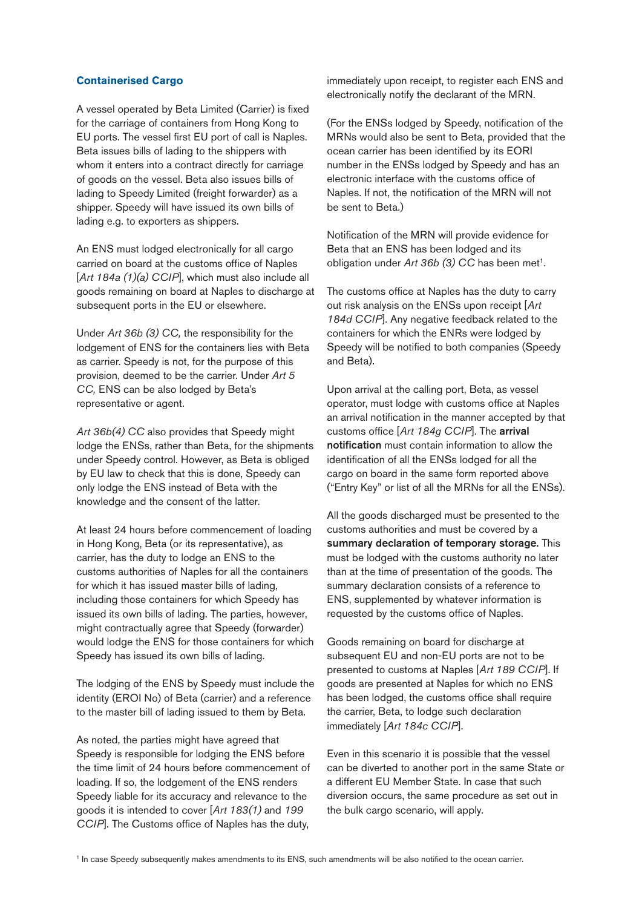#### **Containerised Cargo**

A vessel operated by Beta Limited (Carrier) is fixed for the carriage of containers from Hong Kong to EU ports. The vessel first EU port of call is Naples. Beta issues bills of lading to the shippers with whom it enters into a contract directly for carriage of goods on the vessel. Beta also issues bills of lading to Speedy Limited (freight forwarder) as a shipper. Speedy will have issued its own bills of lading e.g. to exporters as shippers.

An ENS must lodged electronically for all cargo carried on board at the customs office of Naples [*Art 184a (1)(a) CCIP*], which must also include all goods remaining on board at Naples to discharge at subsequent ports in the EU or elsewhere.

Under *Art 36b (3) CC,* the responsibility for the lodgement of ENS for the containers lies with Beta as carrier. Speedy is not, for the purpose of this provision, deemed to be the carrier. Under *Art 5 CC,* ENS can be also lodged by Beta's representative or agent.

Art 36b(4) CC also provides that Speedy might lodge the ENSs, rather than Beta, for the shipments under Speedy control. However, as Beta is obliged by EU law to check that this is done, Speedy can only lodge the ENS instead of Beta with the knowledge and the consent of the latter.

At least 24 hours before commencement of loading in Hong Kong, Beta (or its representative), as carrier, has the duty to lodge an ENS to the customs authorities of Naples for all the containers for which it has issued master bills of lading, including those containers for which Speedy has issued its own bills of lading. The parties, however, might contractually agree that Speedy (forwarder) would lodge the ENS for those containers for which Speedy has issued its own bills of lading.

The lodging of the ENS by Speedy must include the identity (EROI No) of Beta (carrier) and a reference to the master bill of lading issued to them by Beta.

As noted, the parties might have agreed that Speedy is responsible for lodging the ENS before the time limit of 24 hours before commencement of loading. If so, the lodgement of the ENS renders Speedy liable for its accuracy and relevance to the goods it is intended to cover [*Art 183(1)* and *199 CCIP*]. The Customs office of Naples has the duty,

immediately upon receipt, to register each ENS and electronically notify the declarant of the MRN.

(For the ENSs lodged by Speedy, notification of the MRNs would also be sent to Beta, provided that the ocean carrier has been identified by its EORI number in the ENSs lodged by Speedy and has an electronic interface with the customs office of Naples. If not, the notification of the MRN will not be sent to Beta.)

Notification of the MRN will provide evidence for Beta that an ENS has been lodged and its obligation under *Art 36b (3)* CC has been met<sup>1</sup>.

The customs office at Naples has the duty to carry out risk analysis on the ENSs upon receipt [*Art 184d CCIP*]. Any negative feedback related to the containers for which the ENRs were lodged by Speedy will be notified to both companies (Speedy and Beta).

Upon arrival at the calling port, Beta, as vessel operator, must lodge with customs office at Naples an arrival notification in the manner accepted by that customs office [*Art 184g CCIP*]. The **arrival notification** must contain information to allow the identification of all the ENSs lodged for all the cargo on board in the same form reported above ("Entry Key" or list of all the MRNs for all the ENSs).

All the goods discharged must be presented to the customs authorities and must be covered by a **summary declaration of temporary storage.** This must be lodged with the customs authority no later than at the time of presentation of the goods. The summary declaration consists of a reference to ENS, supplemented by whatever information is requested by the customs office of Naples.

Goods remaining on board for discharge at subsequent EU and non-EU ports are not to be presented to customs at Naples [*Art 189 CCIP*]. If goods are presented at Naples for which no ENS has been lodged, the customs office shall require the carrier, Beta, to lodge such declaration immediately [*Art 184c CCIP*].

Even in this scenario it is possible that the vessel can be diverted to another port in the same State or a different EU Member State. In case that such diversion occurs, the same procedure as set out in the bulk cargo scenario, will apply.